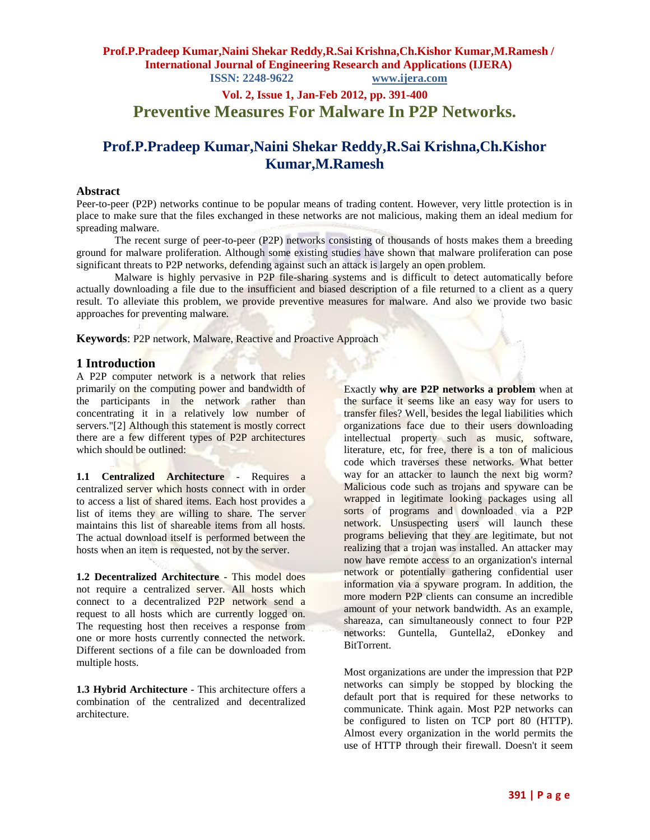# **Vol. 2, Issue 1, Jan-Feb 2012, pp. 391-400 Preventive Measures For Malware In P2P Networks.**

# **Prof.P.Pradeep Kumar,Naini Shekar Reddy,R.Sai Krishna,Ch.Kishor Kumar,M.Ramesh**

### **Abstract**

Peer-to-peer (P2P) networks continue to be popular means of trading content. However, very little protection is in place to make sure that the files exchanged in these networks are not malicious, making them an ideal medium for spreading malware.

The recent surge of peer-to-peer (P2P) networks consisting of thousands of hosts makes them a breeding ground for malware proliferation. Although some existing studies have shown that malware proliferation can pose significant threats to P2P networks, defending against such an attack is largely an open problem.

Malware is highly pervasive in P2P file-sharing systems and is difficult to detect automatically before actually downloading a file due to the insufficient and biased description of a file returned to a client as a query result. To alleviate this problem, we provide preventive measures for malware. And also we provide two basic approaches for preventing malware.

**Keywords**: P2P network, Malware, Reactive and Proactive Approach

### **1 Introduction**

A P2P computer network is a network that relies primarily on the computing power and bandwidth of the participants in the network rather than concentrating it in a relatively low number of servers."[2] Although this statement is mostly correct there are a few different types of P2P architectures which should be outlined:

**1.1 Centralized Architecture** - Requires a centralized server which hosts connect with in order to access a list of shared items. Each host provides a list of items they are willing to share. The server maintains this list of shareable items from all hosts. The actual download itself is performed between the hosts when an item is requested, not by the server.

**1.2 Decentralized Architecture** - This model does not require a centralized server. All hosts which connect to a decentralized P2P network send a request to all hosts which are currently logged on. The requesting host then receives a response from one or more hosts currently connected the network. Different sections of a file can be downloaded from multiple hosts.

**1.3 Hybrid Architecture** - This architecture offers a combination of the centralized and decentralized architecture.

Exactly **why are P2P networks a problem** when at the surface it seems like an easy way for users to transfer files? Well, besides the legal liabilities which organizations face due to their users downloading intellectual property such as music, software, literature, etc, for free, there is a ton of malicious code which traverses these networks. What better way for an attacker to launch the next big worm? Malicious code such as trojans and spyware can be wrapped in legitimate looking packages using all sorts of programs and downloaded via a P2P network. Unsuspecting users will launch these programs believing that they are legitimate, but not realizing that a trojan was installed. An attacker may now have remote access to an organization's internal network or potentially gathering confidential user information via a spyware program. In addition, the more modern P2P clients can consume an incredible amount of your network bandwidth. As an example, shareaza, can simultaneously connect to four P2P networks: Guntella, Guntella2, eDonkey and **BitTorrent** 

Most organizations are under the impression that P2P networks can simply be stopped by blocking the default port that is required for these networks to communicate. Think again. Most P2P networks can be configured to listen on TCP port 80 (HTTP). Almost every organization in the world permits the use of HTTP through their firewall. Doesn't it seem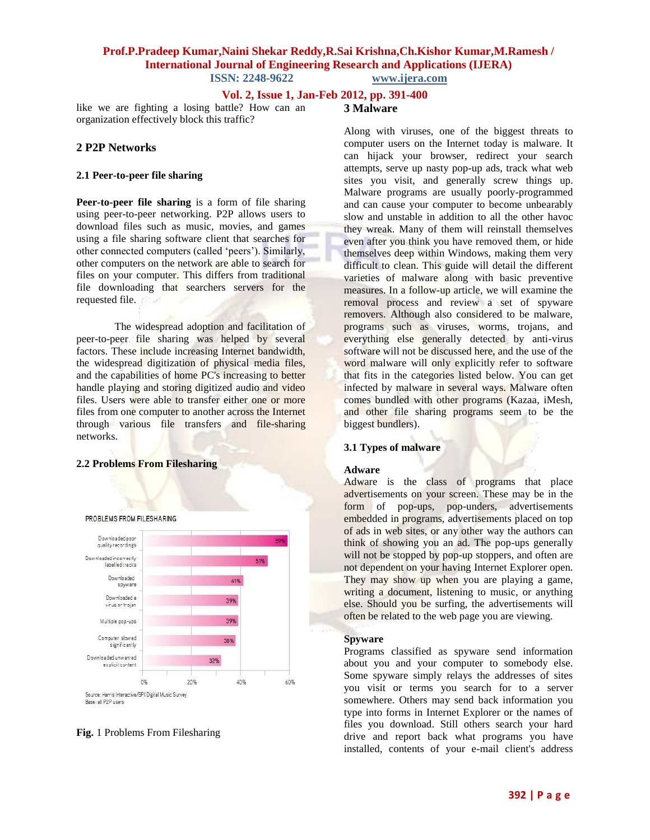### **Vol. 2, Issue 1, Jan-Feb 2012, pp. 391-400**

like we are fighting a losing battle? How can an organization effectively block this traffic?

### **2 P2P Networks**

#### **2.1 Peer-to-peer file sharing**

**Peer-to-peer file sharing** is a form of [file sharing](http://en.wikipedia.org/wiki/File_sharing) using [peer-to-peer networking.](http://en.wikipedia.org/wiki/Peer-to-peer_networking) P2P allows users to download files such as music, movies, and games using a file sharing software client that searches for other connected computers (called "peers"). Similarly, other computers on the network are able to search for files on your computer. This differs from traditional file downloading that searchers servers for the requested file.

The widespread adoption and facilitation of peer-to-peer file sharing was helped by several factors. These include increasing Internet bandwidth, the widespread digitization of physical media files, and the capabilities of home PC's increasing to better handle playing and storing digitized audio and video files. Users were able to transfer either one or more files from one computer to another across the Internet through various [file transfers](http://en.wikipedia.org/wiki/File_transfer) and file-sharing networks.

#### **2.2 Problems From Filesharing**





# **3 Malware**

Along with viruses, one of the biggest threats to computer users on the Internet today is malware. It can hijack your browser, redirect your search attempts, serve up nasty pop-up ads, track what web sites you visit, and generally screw things up. Malware programs are usually poorly-programmed and can cause your computer to become unbearably slow and unstable in addition to all the other havoc they wreak. Many of them will reinstall themselves even after you think you have removed them, or hide themselves deep within Windows, making them very difficult to clean. This guide will detail the different varieties of malware along with basic preventive measures. In a follow-up article, we will examine the removal process and review a set of spyware removers. Although also considered to be malware, programs such as viruses, worms, trojans, and everything else generally detected by anti-virus software will not be discussed here, and the use of the word malware will only explicitly refer to software that fits in the categories listed below. You can get infected by malware in several ways. Malware often comes bundled with other programs (Kazaa, iMesh, and other file sharing programs seem to be the biggest bundlers).

#### **3.1 Types of malware**

#### **Adware**

Adware is the class of programs that place advertisements on your screen. These may be in the form of pop-ups, pop-unders, advertisements embedded in programs, advertisements placed on top of ads in web sites, or any other way the authors can think of showing you an ad. The pop-ups generally will not be stopped by pop-up stoppers, and often are not dependent on your having Internet Explorer open. They may show up when you are playing a game, writing a document, listening to music, or anything else. Should you be surfing, the advertisements will often be related to the web page you are viewing.

#### **Spyware**

Programs classified as spyware send information about you and your computer to somebody else. Some spyware simply relays the addresses of sites you visit or terms you search for to a server somewhere. Others may send back information you type into forms in Internet Explorer or the names of files you download. Still others search your hard drive and report back what programs you have installed, contents of your e-mail client's address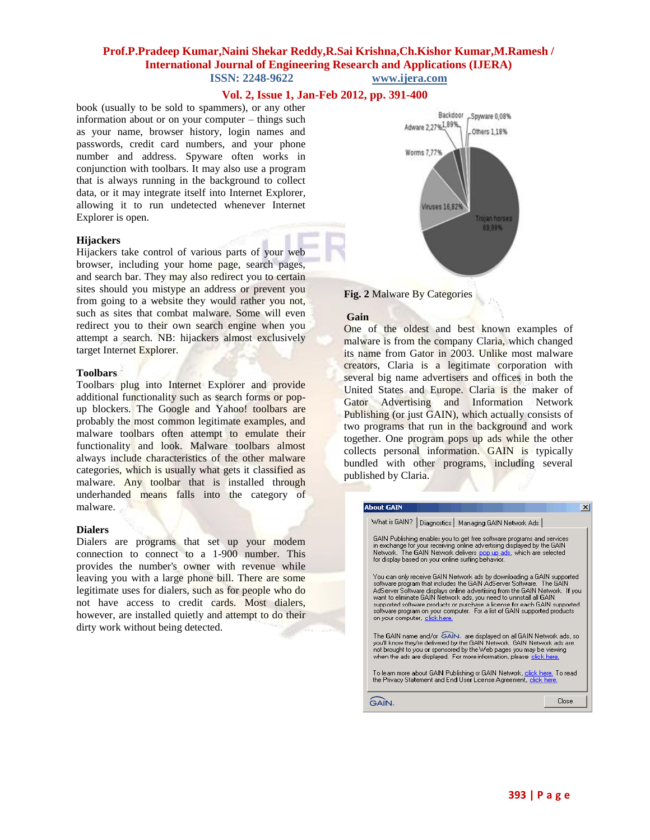### **Vol. 2, Issue 1, Jan-Feb 2012, pp. 391-400**

book (usually to be sold to spammers), or any other information about or on your computer – things such as your name, browser history, login names and passwords, credit card numbers, and your phone number and address. Spyware often works in conjunction with toolbars. It may also use a program that is always running in the background to collect data, or it may integrate itself into Internet Explorer, allowing it to run undetected whenever Internet Explorer is open.

#### **Hijackers**

Hijackers take control of various parts of your web browser, including your home page, search pages, and search bar. They may also redirect you to certain sites should you mistype an address or prevent you from going to a website they would rather you not, such as sites that combat malware. Some will even redirect you to their own search engine when you attempt a search. NB: hijackers almost exclusively target Internet Explorer.

#### **Toolbars**

Toolbars plug into Internet Explorer and provide additional functionality such as search forms or popup blockers. The Google and Yahoo! toolbars are probably the most common legitimate examples, and malware toolbars often attempt to emulate their functionality and look. Malware toolbars almost always include characteristics of the other malware categories, which is usually what gets it classified as malware. Any toolbar that is installed through underhanded means falls into the category of malware.

#### **Dialers**

Dialers are programs that set up your modem connection to connect to a 1-900 number. This provides the number's owner with revenue while leaving you with a large phone bill. There are some legitimate uses for dialers, such as for people who do not have access to credit cards. Most dialers, however, are installed quietly and attempt to do their dirty work without being detected.





#### **Gain**

One of the oldest and best known examples of malware is from the company Claria, which changed its name from Gator in 2003. Unlike most malware creators, Claria is a legitimate corporation with several big name advertisers and offices in both the United States and Europe. Claria is the maker of Gator Advertising and Information Network Publishing (or just GAIN), which actually consists of two programs that run in the background and work together. One program pops up ads while the other collects personal information. GAIN is typically bundled with other programs, including several published by Claria.

| <b>About GAIN</b>                                                                                                                                                                                                                                                                                                                                                                                                                                                                             | $\times$ |
|-----------------------------------------------------------------------------------------------------------------------------------------------------------------------------------------------------------------------------------------------------------------------------------------------------------------------------------------------------------------------------------------------------------------------------------------------------------------------------------------------|----------|
| Diagnestics   Managing GAIN Network Ads  <br>What is GAIN?                                                                                                                                                                                                                                                                                                                                                                                                                                    |          |
| GAIN Publishing enables you to get free software programs and services.<br>in exchange for your receiving online advertising displayed by the GAIN<br>Network. The GAIN Network delivers pop up ads, which are selected<br>for display based on your online surfing behavior.                                                                                                                                                                                                                 |          |
| You can only receive GAIN Network ads by downloading a GAIN supported.<br>software program that includes the GAIN AdServer Software. The GAIN<br>AdServer Software displays online advertising from the GAIN Network. If you<br>want to elminate GAIN Network ads, you need to uninstall all GAIN<br>supported software products or purchase a license for each GAIN supported.<br>software program on your computer. For a list of GAIN supported products.<br>on your computer, click here. |          |
| The GAIN name and/or GAIN. are displayed on all GAIN Network ads, so<br>you'll know they're delivered by the GAIN Network. GAIN Network ads are<br>not brought to you or sponsored by the Web pages you may be viewing<br>when the ads are displayed. For more information, please click here.                                                                                                                                                                                                |          |
| To learn more about GAIN Publishing or GAIN Network, click here. To read-<br>the Privacy Statement and End User License Agreement, click here.                                                                                                                                                                                                                                                                                                                                                |          |
|                                                                                                                                                                                                                                                                                                                                                                                                                                                                                               | Close    |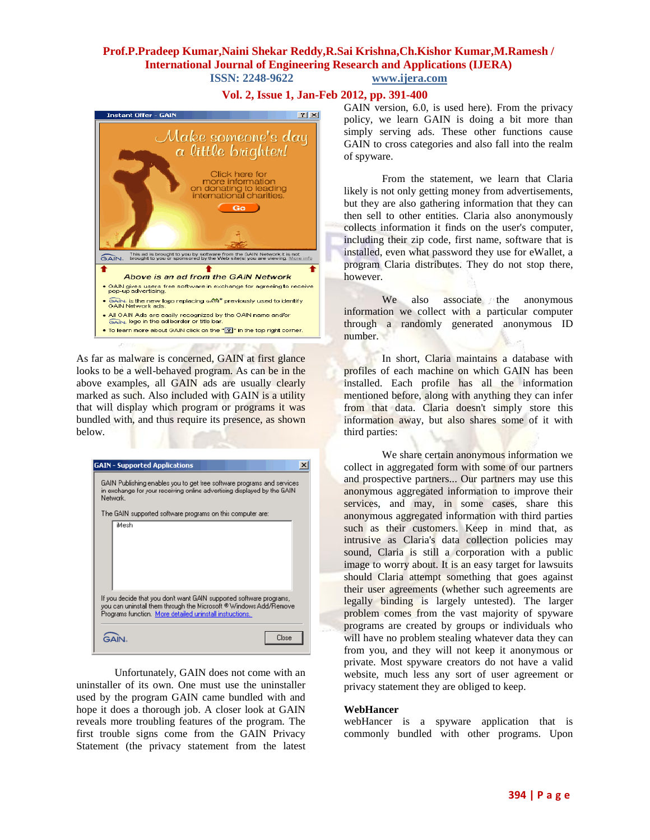## **Vol. 2, Issue 1, Jan-Feb 2012, pp. 391-400**



As far as malware is concerned, GAIN at first glance looks to be a well-behaved program. As can be in the above examples, all GAIN ads are usually clearly marked as such. Also included with GAIN is a utility that will display which program or programs it was bundled with, and thus require its presence, as shown below.

| <b>GAIN - Supported Applications</b><br>GAIN Publishing enables you to get Iree software programs and services.<br>in exchange for your receiving online advertising displayed by the GAIN<br>Network. |
|--------------------------------------------------------------------------------------------------------------------------------------------------------------------------------------------------------|
| The GAIN supported software programs on this computer are:<br>iMesh                                                                                                                                    |
|                                                                                                                                                                                                        |
| If you decide that you don't want GAIN supported software programs,<br>you can uninstal them through the Microsoft ® Windows Add/Remove<br>Programs function. More detailed uninstall instructions.    |
| Close                                                                                                                                                                                                  |

Unfortunately, GAIN does not come with an uninstaller of its own. One must use the uninstaller used by the program GAIN came bundled with and hope it does a thorough job. A closer look at GAIN reveals more troubling features of the program. The first trouble signs come from the GAIN Privacy Statement (the privacy statement from the latest

GAIN version, 6.0, is used here). From the privacy policy, we learn GAIN is doing a bit more than simply serving ads. These other functions cause GAIN to cross categories and also fall into the realm of spyware.

From the statement, we learn that Claria likely is not only getting money from advertisements, but they are also gathering information that they can then sell to other entities. Claria also anonymously collects information it finds on the user's computer, including their zip code, first name, software that is installed, even what password they use for eWallet, a program Claria distributes. They do not stop there, however.

We also associate the anonymous information we collect with a particular computer through a randomly generated anonymous ID number.

In short, Claria maintains a database with profiles of each machine on which GAIN has been installed. Each profile has all the information mentioned before, along with anything they can infer from that data. Claria doesn't simply store this information away, but also shares some of it with third parties:

We share certain anonymous information we collect in aggregated form with some of our partners and prospective partners... Our partners may use this anonymous aggregated information to improve their services, and may, in some cases, share this anonymous aggregated information with third parties such as their customers. Keep in mind that, as intrusive as Claria's data collection policies may sound, Claria is still a corporation with a public image to worry about. It is an easy target for lawsuits should Claria attempt something that goes against their user agreements (whether such agreements are legally binding is largely untested). The larger problem comes from the vast majority of spyware programs are created by groups or individuals who will have no problem stealing whatever data they can from you, and they will not keep it anonymous or private. Most spyware creators do not have a valid website, much less any sort of user agreement or privacy statement they are obliged to keep.

#### **WebHancer**

webHancer is a spyware application that is commonly bundled with other programs. Upon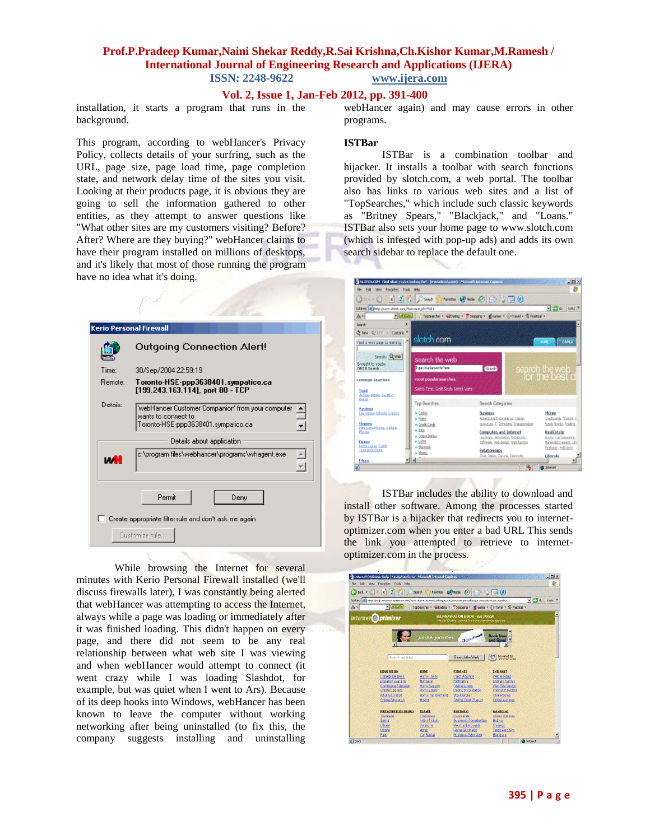### **Vol. 2, Issue 1, Jan-Feb 2012, pp. 391-400**

installation, it starts a program that runs in the background.

This program, according to webHancer's Privacy Policy, collects details of your surfring, such as the URL, page size, page load time, page completion state, and network delay time of the sites you visit. Looking at their products page, it is obvious they are going to sell the information gathered to other entities, as they attempt to answer questions like "What other sites are my customers visiting? Before? After? Where are they buying?" webHancer claims to have their program installed on millions of desktops, and it's likely that most of those running the program have no idea what it's doing.

| <b>Kerio Personal Firewall</b> |                                                                                                                 |
|--------------------------------|-----------------------------------------------------------------------------------------------------------------|
|                                | Outgoing Connection Alert!                                                                                      |
| Time:                          | 30/Sep/2004 22:59:19                                                                                            |
| <b>Bemote:</b>                 | Toronto-HSE-ppp3638401.sympatico.ca<br>[199.243.163.114], port 80 - TCP                                         |
| Details:                       | 'webHancer Customer Companion' from your computer<br>wants to connect to<br>Toronto-HSE-ppp3638401.sympatico.ca |
|                                | Details about application                                                                                       |
| иH                             | c:\program files\webhancer\programs\whagent.exe                                                                 |
|                                | Permit<br>Denv                                                                                                  |
|                                | Create appropriate filter rule and don't ask me again.                                                          |
|                                | Customize rule                                                                                                  |

While browsing the Internet for several minutes with Kerio Personal Firewall installed (we'll discuss firewalls later), I was constantly being alerted that webHancer was attempting to access the Internet, always while a page was loading or immediately after it was finished loading. This didn't happen on every page, and there did not seem to be any real relationship between what web site I was viewing and when webHancer would attempt to connect (it went crazy while I was loading Slashdot, for example, but was quiet when I went to Ars). Because of its deep hooks into Windows, webHancer has been known to leave the computer without working networking after being uninstalled (to fix this, the company suggests installing and uninstalling

webHancer again) and may cause errors in other programs.

#### **ISTBar**

ISTBar is a combination toolbar and hijacker. It installs a toolbar with search functions provided by slotch.com, a web portal. The toolbar also has links to various web sites and a list of "TopSearches," which include such classic keywords as "Britney Spears," "Blackjack," and "Loans." ISTBar also sets your home page to www.slotch.com (which is infested with pop-up ads) and adds its own search sidebar to replace the default one.



ISTBar includes the ability to download and install other software. Among the processes started by ISTBar is a hijacker that redirects you to internetoptimizer.com when you enter a bad URL This sends the link you attempted to retrieve to internetoptimizer.com in the process.

| Back v (C) | ×                                                                                                                       | Search <sup>3</sup>       | Tavartes (2) Neds (2) (2) (2) [3] (3)                                                                 |                                       |                               |
|------------|-------------------------------------------------------------------------------------------------------------------------|---------------------------|-------------------------------------------------------------------------------------------------------|---------------------------------------|-------------------------------|
|            | ÖÖÖ992 3 3   Hitp (halp Harrat, optimise, meç "jen Harr#EREN Ulan hitp"/CEA) konunitarinasiyaga zen (Aalemant 20stemat) |                           |                                                                                                       |                                       | $= 20$<br>Links <sup>30</sup> |
| A-I        | $= 1.633336$                                                                                                            |                           | TopSearche v W/Datrig v 7 Shopping v 8 Green v 0) Travel v 30 Fractical v                             |                                       |                               |
|            | internet of <i>ptimizer</i>                                                                                             |                           | <b>HELPINAVICATION ERROR - ONE ERROR</b><br>Area can Chargain cannot they investigate the space coun- |                                       |                               |
|            |                                                                                                                         |                           |                                                                                                       |                                       |                               |
|            |                                                                                                                         | tool click, you're there. | <b>Chinaston</b>                                                                                      | <b>Book Nov</b>                       |                               |
|            |                                                                                                                         |                           |                                                                                                       | od Save!                              |                               |
|            |                                                                                                                         |                           |                                                                                                       |                                       |                               |
|            |                                                                                                                         |                           |                                                                                                       |                                       |                               |
|            | Souch the Wall                                                                                                          |                           | Searchthe Web                                                                                         | Powered by<br>// rocess.com           |                               |
|            |                                                                                                                         |                           |                                                                                                       |                                       |                               |
|            | <b>LOWSATION</b>                                                                                                        | <b>ROMS</b>               | <b>EXHANCE</b>                                                                                        | <b>INTERNET</b>                       |                               |
|            | <b>College Degrees</b>                                                                                                  | Horni Loats               | Cash Advance                                                                                          | <b>Vieb Histma</b>                    |                               |
|            | Etilänse Leasen<br>Continuing Education                                                                                 | Montgage<br>Homi Service  | 25000000<br><b>Grana Loans</b>                                                                        | Domain Names<br><b>Web Ste Teston</b> |                               |
|            | <b>Créate Degrees</b>                                                                                                   | Homi Equity               | Debt Consolidation                                                                                    | Internet Providers                    |                               |
|            | Abit Education                                                                                                          | Hom-Improvement           | <b>Stock Broker</b>                                                                                   | <b>Chat Rooms</b>                     |                               |
|            | <b>Créte Education</b>                                                                                                  | M0690                     | <b>Oning Credit Report</b>                                                                            | <b>Cráine Audioso</b>                 |                               |
|            | <b>PRESCRIPTION DRUGS</b>                                                                                               | <b>TRAVEL</b>             | <b>RUSTNESS</b>                                                                                       | <b>GANRIJNG</b>                       |                               |
|            | <b>Trampata</b>                                                                                                         | <b>DISERVICE</b>          | <b>LOSSOB SOMA</b>                                                                                    | <b>Crime Casmas</b>                   |                               |
|            | Bama                                                                                                                    | Altim Tickets             | <b>Business Opportunities</b>                                                                         | 見まま出口                                 |                               |
|            | LETNT                                                                                                                   | <b>Encatoris</b>          | Membard Accounts                                                                                      | Casinos                               |                               |
|            | Vagra<br><b>Paul</b>                                                                                                    | Hotels<br>Car Fental      | <b>Home Business</b><br><b>Business Education</b>                                                     | Texas Holt Em<br><b>Blacklack</b>     | Ξ                             |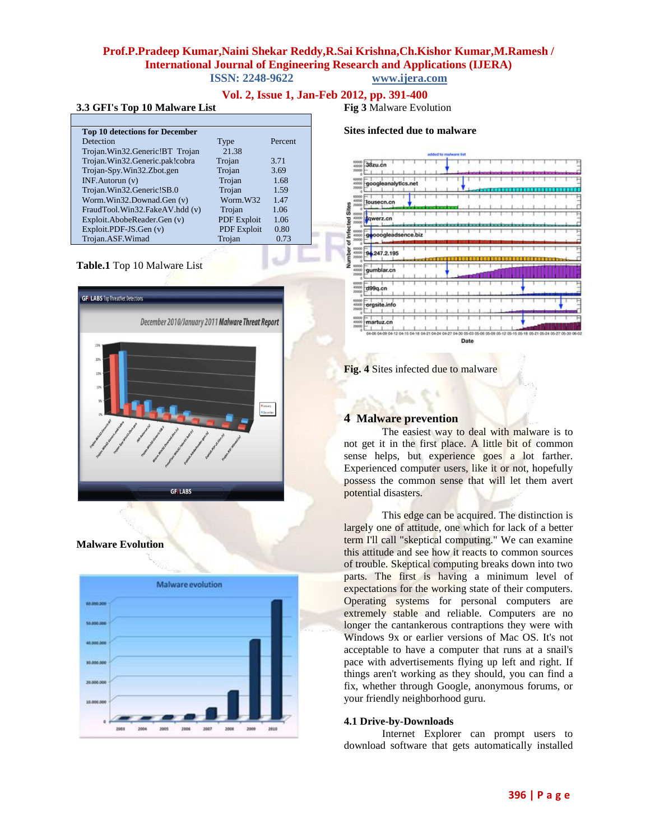# **Vol. 2, Issue 1, Jan-Feb 2012, pp. 391-400**

#### **3.3 GFI's Top 10 Malware List**

| <b>Top 10 detections for December</b> |                    |         |
|---------------------------------------|--------------------|---------|
| Detection                             | Type               | Percent |
| Trojan.Win32.Generic!BT Trojan        | 21.38              |         |
| Trojan.Win32.Generic.pak!cobra        | Trojan             | 3.71    |
| Trojan-Spy.Win32.Zbot.gen             | Trojan             | 3.69    |
| $INF$ . Autorun $(v)$                 | Trojan             | 1.68    |
| Trojan.Win32.Generic!SB.0             | Trojan             | 1.59    |
| Worm.Win32.Downad.Gen (v)             | Worm.W32           | 1.47    |
| FraudTool.Win32.FakeAV.hdd (v)        | Trojan             | 1.06    |
| Exploit.AbobeReader.Gen (v)           | <b>PDF</b> Exploit | 1.06    |
| Exploit.PDF-JS.Gen (v)                | <b>PDF</b> Exploit | 0.80    |
| Trojan.ASF.Wimad                      | Trojan             | 0.73    |
|                                       |                    |         |

#### **Table.1** Top 10 Malware List



**Malware Evolution**



**Fig 3** Malware Evolution







### **4 Malware prevention**

The easiest way to deal with malware is to not get it in the first place. A little bit of common sense helps, but experience goes a lot farther. Experienced computer users, like it or not, hopefully possess the common sense that will let them avert potential disasters.

This edge can be acquired. The distinction is largely one of attitude, one which for lack of a better term I'll call "skeptical computing." We can examine this attitude and see how it reacts to common sources of trouble. Skeptical computing breaks down into two parts. The first is having a minimum level of expectations for the working state of their computers. Operating systems for personal computers are extremely stable and reliable. Computers are no longer the cantankerous contraptions they were with Windows 9x or earlier versions of Mac OS. It's not acceptable to have a computer that runs at a snail's pace with advertisements flying up left and right. If things aren't working as they should, you can find a fix, whether through Google, anonymous forums, or your friendly neighborhood guru.

#### **4.1 Drive-by-Downloads**

Internet Explorer can prompt users to download software that gets automatically installed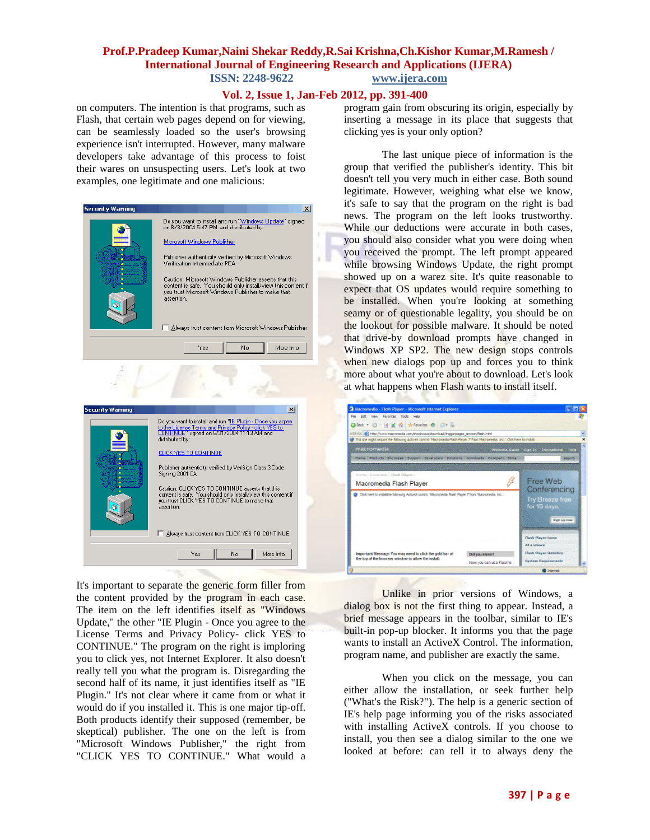### **Vol. 2, Issue 1, Jan-Feb 2012, pp. 391-400**

on computers. The intention is that programs, such as Flash, that certain web pages depend on for viewing, can be seamlessly loaded so the user's browsing experience isn't interrupted. However, many malware developers take advantage of this process to foist their wares on unsuspecting users. Let's look at two examples, one legitimate and one malicious:



It's important to separate the generic form filler from the content provided by the program in each case. The item on the left identifies itself as "Windows Update," the other "IE Plugin - Once you agree to the License Terms and Privacy Policy- click YES to CONTINUE." The program on the right is imploring you to click yes, not Internet Explorer. It also doesn't really tell you what the program is. Disregarding the second half of its name, it just identifies itself as "IE Plugin." It's not clear where it came from or what it would do if you installed it. This is one major tip-off. Both products identify their supposed (remember, be skeptical) publisher. The one on the left is from "Microsoft Windows Publisher," the right from "CLICK YES TO CONTINUE." What would a

program gain from obscuring its origin, especially by inserting a message in its place that suggests that clicking yes is your only option?

The last unique piece of information is the group that verified the publisher's identity. This bit doesn't tell you very much in either case. Both sound legitimate. However, weighing what else we know, it's safe to say that the program on the right is bad news. The program on the left looks trustworthy. While our deductions were accurate in both cases, you should also consider what you were doing when you received the prompt. The left prompt appeared while browsing Windows Update, the right prompt showed up on a warez site. It's quite reasonable to expect that OS updates would require something to be installed. When you're looking at something seamy or of questionable legality, you should be on the lookout for possible malware. It should be noted that drive-by download prompts have changed in Windows XP SP2. The new design stops controls when new dialogs pop up and forces you to think more about what you're about to download. Let's look at what happens when Flash wants to install itself.

| Macromedia - Flash Player - Microsoft internet Explorer                                                                        |                       |                                     |
|--------------------------------------------------------------------------------------------------------------------------------|-----------------------|-------------------------------------|
| File Edit View Farontes Tools Help                                                                                             |                       |                                     |
| GBox · O 因前者 女Favories 色 〇 品                                                                                                   |                       |                                     |
| 400/1599 (@) http://www.macromedia.com/shockwave/download/triggerpages_nmcom/flash.html                                        |                       |                                     |
| This site might require the following ActiveX control "Hacromedia Rash Player 7 from "Hacromedia, Inc.", Click here to install |                       |                                     |
| macromedia                                                                                                                     | Welcome Guest Sign In | <b>Help</b><br><b>International</b> |
| Harve   Products   Shawcase   Suggest   Developers   Salutione   Davelopeds   Campery   Store                                  |                       | Swarch                              |
|                                                                                                                                |                       |                                     |
| Home / Doveloads / Flash Player /                                                                                              |                       |                                     |
| Macromedia Flash Player                                                                                                        | ß                     | Free Web                            |
| Clok here to install the following ActiveX control. Tilsonomedia Rash Player 7 from Tilsonomedia, Inc                          |                       | Conferencing                        |
|                                                                                                                                |                       | Try Breeze free                     |
|                                                                                                                                |                       | for 15 days.                        |
|                                                                                                                                |                       |                                     |
|                                                                                                                                |                       | Sign up now                         |
|                                                                                                                                |                       |                                     |
|                                                                                                                                |                       |                                     |
|                                                                                                                                |                       | Flash Player Rome                   |
|                                                                                                                                |                       | At a Glance                         |
| Important Message: You may need to click the gold bar at<br>the top of the browser window to allow the install.                | Did you know?         | <b>Flash Player Statistics</b>      |

Unlike in prior versions of Windows, a dialog box is not the first thing to appear. Instead, a brief message appears in the toolbar, similar to IE's built-in pop-up blocker. It informs you that the page wants to install an ActiveX Control. The information, program name, and publisher are exactly the same.

When you click on the message, you can either allow the installation, or seek further help ("What's the Risk?"). The help is a generic section of IE's help page informing you of the risks associated with installing ActiveX controls. If you choose to install, you then see a dialog similar to the one we looked at before: can tell it to always deny the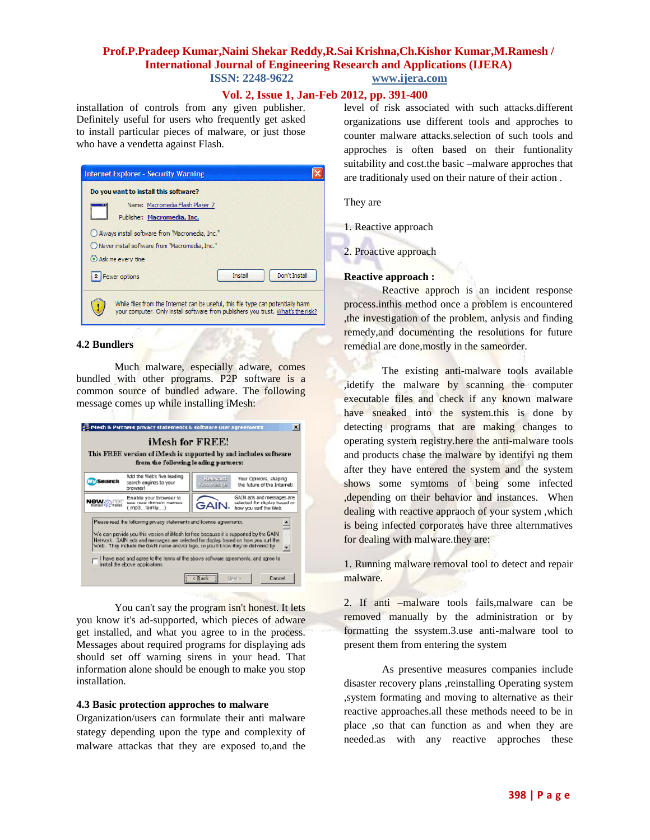### **Vol. 2, Issue 1, Jan-Feb 2012, pp. 391-400**

installation of controls from any given publisher. Definitely useful for users who frequently get asked to install particular pieces of malware, or just those who have a vendetta against Flash.



#### **4.2 Bundlers**

Much malware, especially adware, comes bundled with other programs. P2P software is a common source of bundled adware. The following message comes up while installing iMesh:

| Mesh & Partners privacy statements & software user agreements<br>$\times$                                                                                                                                                                                                                                                                                                                                                                                  |                                                                                              |  |
|------------------------------------------------------------------------------------------------------------------------------------------------------------------------------------------------------------------------------------------------------------------------------------------------------------------------------------------------------------------------------------------------------------------------------------------------------------|----------------------------------------------------------------------------------------------|--|
| iMesh for FREE!<br>This FREE version of iMesh is supported by and includes software<br>from the following leading partners:                                                                                                                                                                                                                                                                                                                                |                                                                                              |  |
| Add the Web's five leading<br><b>Search</b><br>search engines to your<br>browser!                                                                                                                                                                                                                                                                                                                                                                          | Your Opinions, shaping<br>Refevent<br>the future of the Internet!<br>Knowledge               |  |
| Enable your browser to<br><b>News</b><br>see new domain names<br>Domain << E! Names<br>(.mp3, .family)                                                                                                                                                                                                                                                                                                                                                     | GAIN ads and messages are<br>selected for display based on<br>GAIN.<br>how you surf the Web. |  |
| Please read the following privacy statements and idense agreements.<br>We can provide you this version of iMesh for free because it is supported by the GAIN.<br>Network. BAIN ads and messages are selected for display based on how you auf the<br>Web. They include the GAN name and/or logo, zo you'll know they're delivered by<br>I have read and agree to the terms of the above software agreements, and agree to<br>instal the above applicatons. |                                                                                              |  |
|                                                                                                                                                                                                                                                                                                                                                                                                                                                            | Cancel<br>c Back<br>Next >                                                                   |  |

You can't say the program isn't honest. It lets you know it's ad-supported, which pieces of adware get installed, and what you agree to in the process. Messages about required programs for displaying ads should set off warning sirens in your head. That information alone should be enough to make you stop installation.

### **4.3 Basic protection approches to malware**

Organization/users can formulate their anti malware stategy depending upon the type and complexity of malware attackas that they are exposed to,and the level of risk associated with such attacks.different organizations use different tools and approches to counter malware attacks.selection of such tools and approches is often based on their funtionality suitability and cost.the basic –malware approches that are traditionaly used on their nature of their action .

They are

1. Reactive approach

2. Proactive approach

#### **Reactive approach :**

Reactive approch is an incident response process.inthis method once a problem is encountered ,the investigation of the problem, anlysis and finding remedy,and documenting the resolutions for future remedial are done,mostly in the sameorder.

The existing anti-malware tools available ,idetify the malware by scanning the computer executable files and check if any known malware have sneaked into the system.this is done by detecting programs that are making changes to operating system registry.here the anti-malware tools and products chase the malware by identifyi ng them after they have entered the system and the system shows some symtoms of being some infected ,depending on their behavior and instances. When dealing with reactive appraoch of your system , which is being infected corporates have three alternmatives for dealing with malware.they are:

1. Running malware removal tool to detect and repair malware.

2. If anti –malware tools fails,malware can be removed manually by the administration or by formatting the ssystem.3.use anti-malware tool to present them from entering the system

As presentive measures companies include disaster recovery plans ,reinstalling Operating system ,system formating and moving to alternative as their reactive approaches.all these methods neeed to be in place ,so that can function as and when they are needed.as with any reactive approches these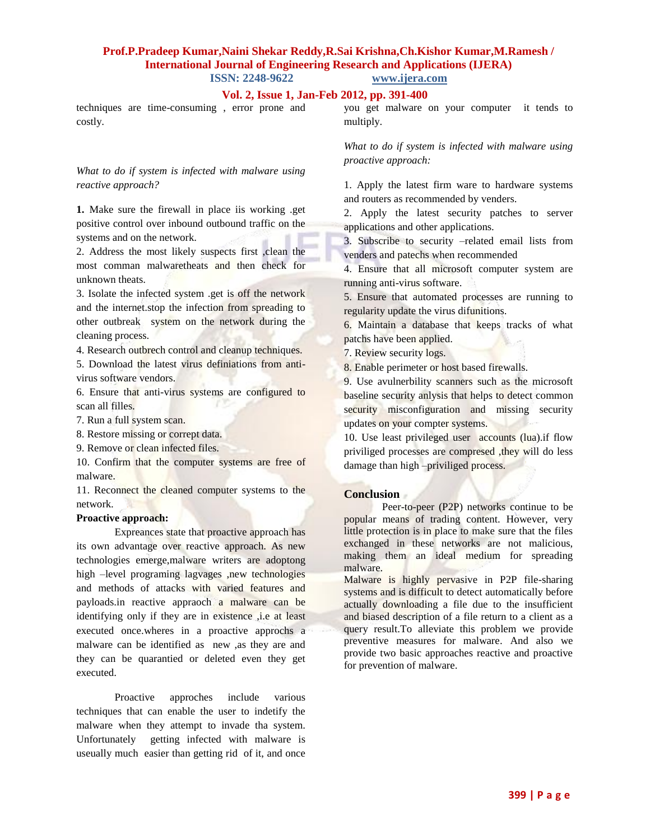# **Vol. 2, Issue 1, Jan-Feb 2012, pp. 391-400**

techniques are time-consuming , error prone and costly.

## *What to do if system is infected with malware using reactive approach?*

**1.** Make sure the firewall in place iis working .get positive control over inbound outbound traffic on the systems and on the network.

2. Address the most likely suspects first ,clean the most comman malwaretheats and then check for unknown theats.

3. Isolate the infected system .get is off the network and the internet.stop the infection from spreading to other outbreak system on the network during the cleaning process.

4. Research outbrech control and cleanup techniques.

5. Download the latest virus definiations from antivirus software vendors.

6. Ensure that anti-virus systems are configured to scan all filles.

7. Run a full system scan.

8. Restore missing or corrept data.

9. Remove or clean infected files.

10. Confirm that the computer systems are free of malware.

11. Reconnect the cleaned computer systems to the network.

### **Proactive approach:**

Expreances state that proactive approach has its own advantage over reactive approach. As new technologies emerge,malware writers are adoptong high –level programing lagvages ,new technologies and methods of attacks with varied features and payloads.in reactive appraoch a malware can be identifying only if they are in existence, i.e at least executed once.wheres in a proactive approchs a malware can be identified as new ,as they are and they can be quarantied or deleted even they get executed.

Proactive approches include various techniques that can enable the user to indetify the malware when they attempt to invade tha system. Unfortunately getting infected with malware is useually much easier than getting rid of it, and once you get malware on your computer it tends to multiply.

*What to do if system is infected with malware using proactive approach:*

1. Apply the latest firm ware to hardware systems and routers as recommended by venders.

2. Apply the latest security patches to server applications and other applications.

3. Subscribe to security –related email lists from venders and patechs when recommended

4. Ensure that all microsoft computer system are running anti-virus software.

5. Ensure that automated processes are running to regularity update the virus difunitions.

6. Maintain a database that keeps tracks of what patchs have been applied.

7. Review security logs.

8. Enable perimeter or host based firewalls.

9. Use avulnerbility scanners such as the microsoft baseline security anlysis that helps to detect common security misconfiguration and missing security updates on your compter systems.

10. Use least privileged user accounts (lua).if flow priviliged processes are compresed ,they will do less damage than high –priviliged process.

#### **Conclusion**

Peer-to-peer (P2P) networks continue to be popular means of trading content. However, very little protection is in place to make sure that the files exchanged in these networks are not malicious, making them an ideal medium for spreading malware.

Malware is highly pervasive in P2P file-sharing systems and is difficult to detect automatically before actually downloading a file due to the insufficient and biased description of a file return to a client as a query result.To alleviate this problem we provide preventive measures for malware. And also we provide two basic approaches reactive and proactive for prevention of malware.